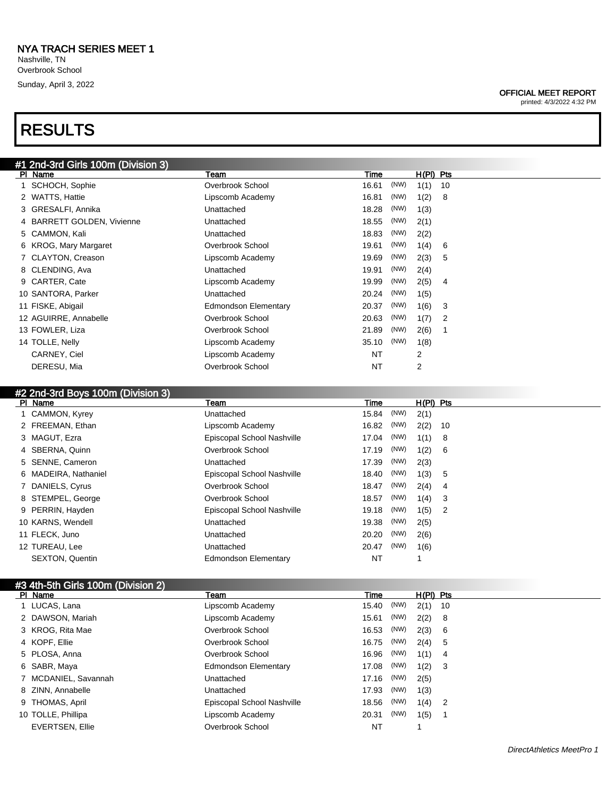Sunday, April 3, 2022

# RESULTS

### OFFICIAL MEET REPORT

printed: 4/3/2022 4:32 PM

|                    | #1 2nd-3rd Girls 100m (Division 3) |                             |           |      |             |    |  |
|--------------------|------------------------------------|-----------------------------|-----------|------|-------------|----|--|
| PI Name            |                                    | Team                        | Time      |      | $H(PI)$ Pts |    |  |
|                    | SCHOCH, Sophie                     | Overbrook School            | 16.61     | (NW) | 1(1)        | 10 |  |
| 2 WATTS, Hattie    |                                    | Lipscomb Academy            | 16.81     | (NW) | 1(2)        | 8  |  |
|                    | 3 GRESALFI, Annika                 | Unattached                  | 18.28     | (NW) | 1(3)        |    |  |
|                    | 4 BARRETT GOLDEN, Vivienne         | Unattached                  | 18.55     | (NW) | 2(1)        |    |  |
| 5 CAMMON, Kali     |                                    | Unattached                  | 18.83     | (NW) | 2(2)        |    |  |
|                    | 6 KROG, Mary Margaret              | Overbrook School            | 19.61     | (NW) | 1(4)        | 6  |  |
|                    | 7 CLAYTON, Creason                 | Lipscomb Academy            | 19.69     | (NW) | 2(3)        | 5  |  |
| 8 CLENDING, Ava    |                                    | Unattached                  | 19.91     | (NW) | 2(4)        |    |  |
| 9 CARTER, Cate     |                                    | Lipscomb Academy            | 19.99     | (NW) | 2(5)        | 4  |  |
| 10 SANTORA, Parker |                                    | Unattached                  | 20.24     | (NW) | 1(5)        |    |  |
| 11 FISKE, Abigail  |                                    | <b>Edmondson Elementary</b> | 20.37     | (NW) | 1(6)        | 3  |  |
|                    | 12 AGUIRRE, Annabelle              | Overbrook School            | 20.63     | (NW) | 1(7)        | 2  |  |
| 13 FOWLER, Liza    |                                    | Overbrook School            | 21.89     | (NW) | 2(6)        | 1  |  |
| 14 TOLLE, Nelly    |                                    | Lipscomb Academy            | 35.10     | (NW) | 1(8)        |    |  |
| CARNEY, Ciel       |                                    | Lipscomb Academy            | <b>NT</b> |      | 2           |    |  |
| DERESU, Mia        |                                    | Overbrook School            | NT        |      | 2           |    |  |

### #2 2nd-3rd Boys 100m (Division 3)

| PI Name |                        | Team                        | Time  |      | $H(PI)$ Pts |                |
|---------|------------------------|-----------------------------|-------|------|-------------|----------------|
|         | 1 CAMMON, Kyrey        | Unattached                  | 15.84 | (NW) | 2(1)        |                |
|         | 2 FREEMAN, Ethan       | Lipscomb Academy            | 16.82 | (NW) | 2(2)        | - 10           |
|         | 3 MAGUT, Ezra          | Episcopal School Nashville  | 17.04 | (NW) | 1(1)        | -8             |
|         | 4 SBERNA, Quinn        | Overbrook School            | 17.19 | (NW) | 1(2)        | -6             |
|         | 5 SENNE, Cameron       | Unattached                  | 17.39 | (NW) | 2(3)        |                |
|         | 6 MADEIRA, Nathaniel   | Episcopal School Nashville  | 18.40 | (NW) | 1(3)        | -5             |
|         | 7 DANIELS, Cyrus       | Overbrook School            | 18.47 | (NW) | 2(4)        | 4              |
|         | 8 STEMPEL, George      | Overbrook School            | 18.57 | (NW) | 1(4)        | -3             |
|         | 9 PERRIN, Hayden       | Episcopal School Nashville  | 19.18 | (NW) | 1(5)        | $\overline{2}$ |
|         | 10 KARNS, Wendell      | Unattached                  | 19.38 | (NW) | 2(5)        |                |
|         | 11 FLECK, Juno         | Unattached                  | 20.20 | (NW) | 2(6)        |                |
|         | 12 TUREAU, Lee         | Unattached                  | 20.47 | (NW) | 1(6)        |                |
|         | <b>SEXTON, Quentin</b> | <b>Edmondson Elementary</b> | NT    |      |             |                |

| #3 4th-5th Girls 100m (Division 2) |                             |           |      |           |                            |  |
|------------------------------------|-----------------------------|-----------|------|-----------|----------------------------|--|
| PI Name                            | Team                        | Time      |      | H(PI) Pts |                            |  |
| 1 LUCAS, Lana                      | Lipscomb Academy            | 15.40     | (NW) | 2(1)      | 10                         |  |
| 2 DAWSON, Mariah                   | Lipscomb Academy            | 15.61     | (NW) | 2(2)      | - 8                        |  |
| 3 KROG, Rita Mae                   | Overbrook School            | 16.53     | (NW) | 2(3)      | - 6                        |  |
| 4 KOPF, Ellie                      | Overbrook School            | 16.75     | (NW) | 2(4)      | 5                          |  |
| 5 PLOSA, Anna                      | Overbrook School            | 16.96     | (NW) | 1(1)      | -4                         |  |
| 6 SABR, Maya                       | <b>Edmondson Elementary</b> | 17.08     | (NW) | 1(2)      | - 3                        |  |
| 7 MCDANIEL, Savannah               | Unattached                  | 17.16     | (NW) | 2(5)      |                            |  |
| 8 ZINN, Annabelle                  | Unattached                  | 17.93     | (NW) | 1(3)      |                            |  |
| 9 THOMAS, April                    | Episcopal School Nashville  | 18.56     | (NW) | 1(4)      | $\overline{\phantom{0}}^2$ |  |
| 10 TOLLE, Phillipa                 | Lipscomb Academy            | 20.31     | (NW) | 1(5)      |                            |  |
| <b>EVERTSEN, Ellie</b>             | Overbrook School            | <b>NT</b> |      |           |                            |  |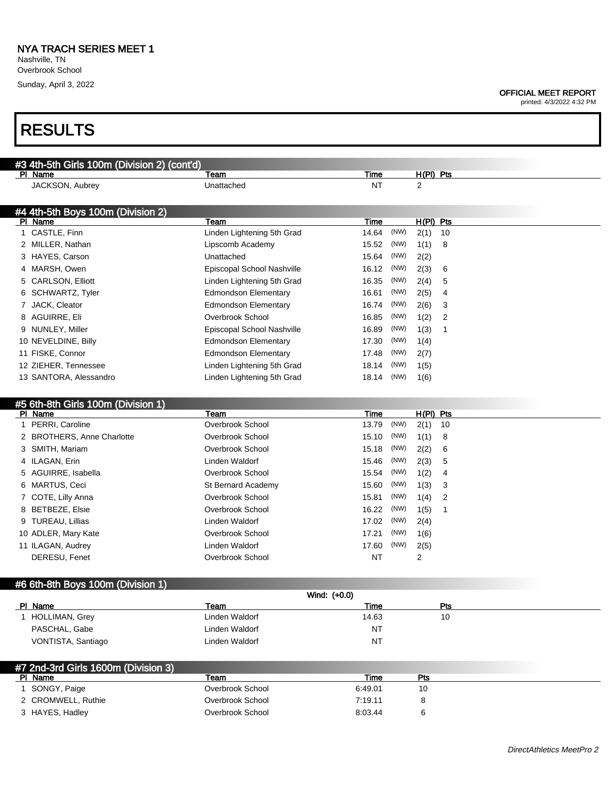Nashville, TN Overbrook School

Sunday, April 3, 2022

#### OFFICIAL MEET REPORT

printed: 4/3/2022 4:32 PM

# RESULTS

| #3 4th-5th Girls 100m (Division 2) (cont'd)  |                                         |                        |      |             |                |
|----------------------------------------------|-----------------------------------------|------------------------|------|-------------|----------------|
| PI Name                                      | Team                                    | Time                   |      | $H(PI)$ Pts |                |
| JACKSON, Aubrey                              | Unattached                              | <b>NT</b>              |      | 2           |                |
|                                              |                                         |                        |      |             |                |
| #4 4th-5th Boys 100m (Division 2)            |                                         |                        |      |             |                |
| PI Name                                      | Team                                    | Time                   |      | $H(PI)$ Pts |                |
| 1 CASTLE, Finn                               | Linden Lightening 5th Grad              | 14.64                  | (NW) | 2(1)        | 10             |
| 2 MILLER, Nathan                             | Lipscomb Academy                        | 15.52                  | (NW) | 1(1)        | 8              |
| 3 HAYES, Carson                              | Unattached                              | 15.64                  | (NW) | 2(2)        |                |
| 4 MARSH, Owen                                | Episcopal School Nashville              | 16.12                  | (NW) | 2(3)        | 6              |
| 5 CARLSON, Elliott                           | Linden Lightening 5th Grad              | 16.35                  | (NW) | 2(4)        | 5              |
| 6 SCHWARTZ, Tyler                            | <b>Edmondson Elementary</b>             | 16.61                  | (NW) | 2(5)        | 4              |
| 7 JACK, Cleator                              | <b>Edmondson Elementary</b>             | 16.74                  | (NW) | 2(6)        | 3              |
| 8 AGUIRRE, Eli                               | Overbrook School                        | 16.85                  | (NW) | 1(2)        | $\overline{2}$ |
| 9 NUNLEY, Miller                             | Episcopal School Nashville              | 16.89                  | (NW) | 1(3)        | $\mathbf{1}$   |
| 10 NEVELDINE, Billy                          | <b>Edmondson Elementary</b>             | 17.30                  | (NW) | 1(4)        |                |
| 11 FISKE, Connor                             | <b>Edmondson Elementary</b>             | 17.48                  | (NW) | 2(7)        |                |
| 12 ZIEHER, Tennessee                         | Linden Lightening 5th Grad              | 18.14                  | (NW) | 1(5)        |                |
| 13 SANTORA, Alessandro                       | Linden Lightening 5th Grad              | 18.14                  | (NW) | 1(6)        |                |
|                                              |                                         |                        |      |             |                |
| #5 6th-8th Girls 100m (Division 1)           |                                         |                        |      |             |                |
| PI Name                                      |                                         |                        |      |             | H(PI) Pts      |
|                                              | Team                                    | Time                   |      |             |                |
| 1 PERRI, Caroline                            | Overbrook School                        | 13.79                  | (NW) | 2(1)        | 10             |
| 2 BROTHERS, Anne Charlotte                   | Overbrook School                        | 15.10                  | (NW) | 1(1)        | 8              |
| 3 SMITH, Mariam                              | Overbrook School                        | 15.18                  | (NW) | 2(2)        | 6              |
| 4 ILAGAN, Erin                               | <b>Linden Waldorf</b>                   | 15.46                  | (NW) | 2(3)        | 5              |
| 5 AGUIRRE, Isabella                          | Overbrook School                        | 15.54                  | (NW) | 1(2)        | 4              |
| 6 MARTUS, Ceci                               | St Bernard Academy                      | 15.60                  | (NW) | 1(3)        | 3              |
| 7 COTE, Lilly Anna                           | Overbrook School                        | 15.81                  | (NW) | 1(4)        | 2              |
| 8 BETBEZE, Elsie                             | Overbrook School                        | 16.22                  | (NW) | 1(5)        | $\mathbf{1}$   |
| 9 TUREAU, Lillias                            | Linden Waldorf                          | 17.02                  | (NW) | 2(4)        |                |
| 10 ADLER, Mary Kate                          | Overbrook School                        | 17.21                  | (NW) | 1(6)        |                |
| 11 ILAGAN, Audrey                            | Linden Waldorf                          | 17.60                  | (NW) | 2(5)        |                |
| DERESU, Fenet                                | Overbrook School                        | ΝT                     |      | 2           |                |
|                                              |                                         |                        |      |             |                |
|                                              |                                         |                        |      |             |                |
|                                              | Wind: (+0.0)                            |                        |      |             |                |
| #6 6th-8th Boys 100m (Division 1)<br>PI Name | Team                                    | Time                   |      |             | Pts            |
| 1 HOLLIMAN, Grey                             | <b>Linden Waldorf</b>                   | 14.63                  |      |             | 10             |
| PASCHAL, Gabe<br>VONTISTA, Santiago          | Linden Waldorf<br><b>Linden Waldorf</b> | <b>NT</b><br><b>NT</b> |      |             |                |

| #7 2nd-3rd Girls 1600m (Division 3) |                  |         |     |  |  |  |
|-------------------------------------|------------------|---------|-----|--|--|--|
| PI Name                             | Team             | Гіmе    | Pts |  |  |  |
| SONGY, Paige                        | Overbrook School | 6:49.01 | 10  |  |  |  |
| 2 CROMWELL, Ruthie                  | Overbrook School | 7:19.11 |     |  |  |  |
| 3 HAYES, Hadley                     | Overbrook School | 8:03.44 |     |  |  |  |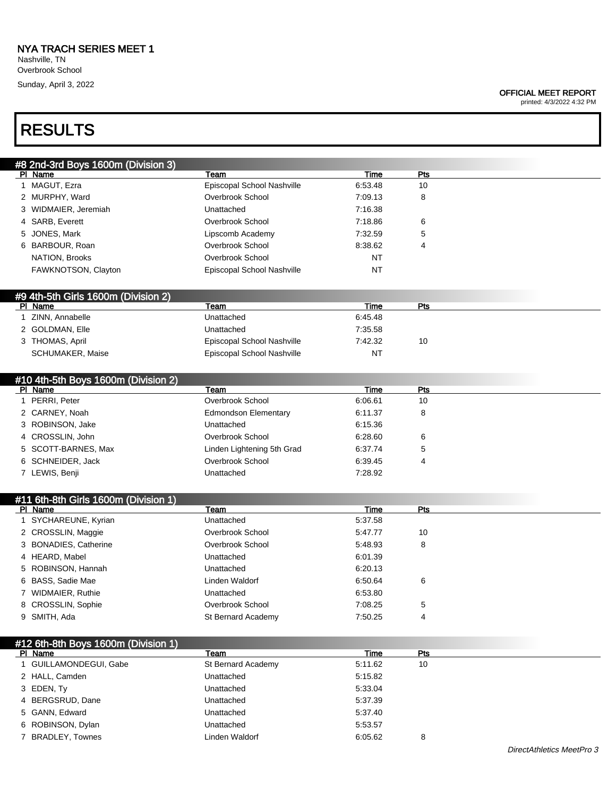Overbrook School Sunday, April 3, 2022

#### OFFICIAL MEET REPORT

printed: 4/3/2022 4:32 PM

| <b>RESULTS</b>                              |                              |                 |            |  |
|---------------------------------------------|------------------------------|-----------------|------------|--|
| #8 2nd-3rd Boys 1600m (Division 3)          |                              |                 |            |  |
| PI Name                                     | Team                         | Time            | Pts        |  |
| 1 MAGUT, Ezra                               | Episcopal School Nashville   | 6:53.48         | 10         |  |
| 2 MURPHY, Ward                              | Overbrook School             | 7:09.13         | 8          |  |
| 3 WIDMAIER, Jeremiah                        | Unattached                   | 7:16.38         |            |  |
| 4 SARB, Everett                             | Overbrook School             | 7:18.86         | 6          |  |
| 5 JONES, Mark                               | Lipscomb Academy             | 7:32.59         | 5          |  |
| 6 BARBOUR, Roan                             | Overbrook School             | 8:38.62         | 4          |  |
| NATION, Brooks                              | Overbrook School             | NT              |            |  |
| FAWKNOTSON, Clayton                         | Episcopal School Nashville   | <b>NT</b>       |            |  |
| #9 4th-5th Girls 1600m (Division 2)         |                              |                 |            |  |
| PI Name                                     | Team                         | <b>Time</b>     | <b>Pts</b> |  |
| 1 ZINN, Annabelle                           | Unattached                   | 6:45.48         |            |  |
| 2 GOLDMAN, Elle                             | Unattached                   | 7:35.58         |            |  |
| 3 THOMAS, April                             | Episcopal School Nashville   | 7:42.32         | 10         |  |
| SCHUMAKER, Maise                            | Episcopal School Nashville   | <b>NT</b>       |            |  |
| #10 4th-5th Boys 1600m (Division 2)         |                              |                 |            |  |
| PI Name                                     | Team                         | Time            | Pts        |  |
| 1 PERRI, Peter                              | Overbrook School             | 6:06.61         | 10         |  |
| 2 CARNEY, Noah                              | <b>Edmondson Elementary</b>  | 6:11.37         | 8          |  |
| 3 ROBINSON, Jake                            | Unattached                   | 6:15.36         |            |  |
| 4 CROSSLIN, John                            | Overbrook School             | 6:28.60         | 6          |  |
| 5 SCOTT-BARNES, Max                         | Linden Lightening 5th Grad   | 6:37.74         | 5          |  |
| 6 SCHNEIDER, Jack                           | Overbrook School             | 6:39.45         | 4          |  |
| 7 LEWIS, Benji                              | Unattached                   | 7:28.92         |            |  |
| #11 6th-8th Girls 1600m (Division 1)        |                              |                 |            |  |
| PI Name<br>1 SYCHAREUNE, Kyrian             | Team<br>Unattached           | Time<br>5:37.58 | Pts        |  |
|                                             | Overbrook School             | 5:47.77         |            |  |
| 2 CROSSLIN, Maggie<br>3 BONADIES, Catherine | Overbrook School             | 5:48.93         | 10         |  |
| 4 HEARD, Mabel                              | Unattached                   | 6:01.39         | 8          |  |
| ROBINSON, Hannah<br>5.                      |                              | 6:20.13         |            |  |
| 6 BASS, Sadie Mae                           | Unattached                   |                 |            |  |
| 7 WIDMAIER, Ruthie                          | Linden Waldorf<br>Unattached | 6:50.64         | 6          |  |
|                                             | Overbrook School             | 6:53.80         |            |  |
| 8 CROSSLIN, Sophie                          |                              | 7:08.25         | 5          |  |
| 9 SMITH, Ada                                | St Bernard Academy           | 7:50.25         | 4          |  |
| #12 6th-8th Boys 1600m (Division 1)         |                              |                 |            |  |
| PI Name                                     | Team                         | <b>Time</b>     | Pts        |  |
| 1 GUILLAMONDEGUI, Gabe<br>2 HALL, Camden    | St Bernard Academy           | 5:11.62         | 10         |  |
|                                             | Unattached                   | 5:15.82         |            |  |
| 3 EDEN, Ty                                  | Unattached                   | 5:33.04         |            |  |

5 GANN, Edward Unattached 5:37.40 6 ROBINSON, Dylan Unattached 5:53.57

4 BERGSRUD, Dane Unattached 5:37.39

7 BRADLEY, Townes Linden Waldorf 6:05.62 8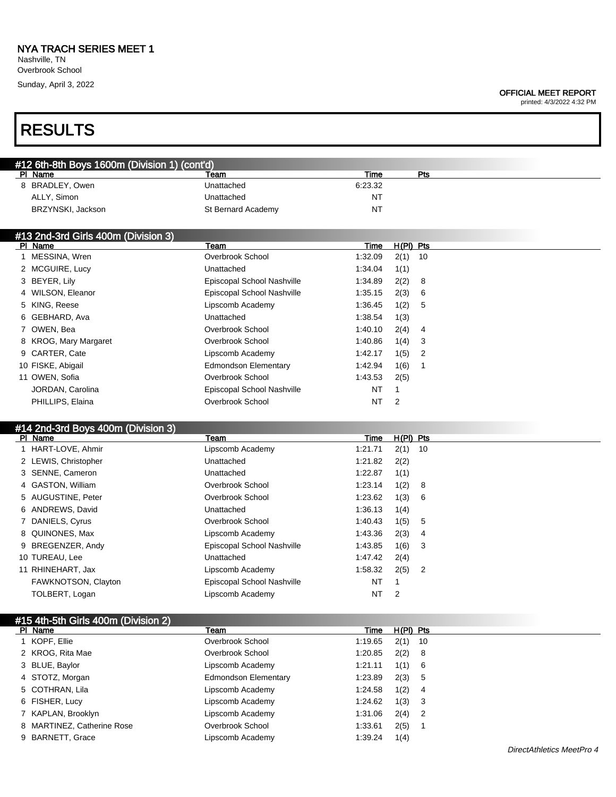Nashville, TN Overbrook School Sunday, April 3, 2022

### OFFICIAL MEET REPORT

printed: 4/3/2022 4:32 PM

# RESULTS

| #12 6th-8th Boys 1600m (Division 1) (cont'd) |                    |         |     |  |  |  |  |
|----------------------------------------------|--------------------|---------|-----|--|--|--|--|
| PI Name                                      | Team               | Time    | Pts |  |  |  |  |
| 8 BRADLEY, Owen                              | Unattached         | 6.23.32 |     |  |  |  |  |
| ALLY. Simon                                  | Unattached         | NT      |     |  |  |  |  |
| BRZYNSKI, Jackson                            | St Bernard Academy | NT      |     |  |  |  |  |

### #13 2nd-3rd Girls 400m (Division 3)

| PI Name               | Team                       | Time    | $H(PI)$ Pts |                            |
|-----------------------|----------------------------|---------|-------------|----------------------------|
| 1 MESSINA, Wren       | Overbrook School           | 1:32.09 | $2(1)$ 10   |                            |
| 2 MCGUIRE, Lucy       | Unattached                 | 1:34.04 | 1(1)        |                            |
| 3 BEYER, Lily         | Episcopal School Nashville | 1:34.89 | 2(2) 8      |                            |
| 4 WILSON, Eleanor     | Episcopal School Nashville | 1:35.15 | 2(3)        | - 6                        |
| 5 KING, Reese         | Lipscomb Academy           | 1:36.45 | 1(2) 5      |                            |
| 6 GEBHARD, Ava        | Unattached                 | 1:38.54 | 1(3)        |                            |
| 7 OWEN, Bea           | Overbrook School           | 1:40.10 | $2(4)$ 4    |                            |
| 8 KROG, Mary Margaret | Overbrook School           | 1:40.86 | $1(4)$ 3    |                            |
| 9 CARTER, Cate        | Lipscomb Academy           | 1:42.17 | 1(5)        | $\overline{\phantom{0}}^2$ |
| 10 FISKE, Abigail     | Edmondson Elementary       | 1:42.94 | 1(6)        |                            |
| 11 OWEN, Sofia        | Overbrook School           | 1:43.53 | 2(5)        |                            |
| JORDAN, Carolina      | Episcopal School Nashville | NT      |             |                            |
| PHILLIPS, Elaina      | Overbrook School           | NT      | 2           |                            |
|                       |                            |         |             |                            |

### #14 2nd-3rd Boys 400m (Division 3)

| PI Name |                      | Team                       | Time      | $H(PI)$ Pts |     |
|---------|----------------------|----------------------------|-----------|-------------|-----|
|         | 1 HART-LOVE, Ahmir   | Lipscomb Academy           | 1:21.71   | $2(1)$ 10   |     |
|         | 2 LEWIS, Christopher | Unattached                 | 1:21.82   | 2(2)        |     |
|         | 3 SENNE, Cameron     | Unattached                 | 1:22.87   | 1(1)        |     |
|         | 4 GASTON, William    | Overbrook School           | 1:23.14   | 1(2)        | - 8 |
|         | 5 AUGUSTINE, Peter   | Overbrook School           | 1:23.62   | 1(3)        | - 6 |
|         | 6 ANDREWS, David     | Unattached                 | 1:36.13   | 1(4)        |     |
|         | 7 DANIELS, Cyrus     | Overbrook School           | 1:40.43   | 1(5)        | 5   |
|         | 8 QUINONES, Max      | Lipscomb Academy           | 1:43.36   | 2(3)        | - 4 |
|         | 9 BREGENZER, Andy    | Episcopal School Nashville | 1:43.85   | 1(6)        | - 3 |
|         | 10 TUREAU, Lee       | Unattached                 | 1:47.42   | 2(4)        |     |
|         | 11 RHINEHART, Jax    | Lipscomb Academy           | 1:58.32   | $2(5)$ 2    |     |
|         | FAWKNOTSON, Clayton  | Episcopal School Nashville | <b>NT</b> |             |     |
|         | TOLBERT, Logan       | Lipscomb Academy           | NT        | 2           |     |

| #15 4th-5th Girls 400m (Division 2) |                      |         |             |   |
|-------------------------------------|----------------------|---------|-------------|---|
| PI Name                             | Team                 | Time    | $H(PI)$ Pts |   |
| KOPF, Ellie                         | Overbrook School     | 1:19.65 | $2(1)$ 10   |   |
| 2 KROG, Rita Mae                    | Overbrook School     | 1:20.85 | $2(2)$ 8    |   |
| 3 BLUE, Baylor                      | Lipscomb Academy     | 1:21.11 | 1(1) 6      |   |
| 4 STOTZ, Morgan                     | Edmondson Elementary | 1:23.89 | 2(3) 5      |   |
| 5 COTHRAN, Lila                     | Lipscomb Academy     | 1:24.58 | 1(2)        | 4 |
| 6 FISHER, Lucy                      | Lipscomb Academy     | 1:24.62 | 1(3) 3      |   |
| 7 KAPLAN, Brooklyn                  | Lipscomb Academy     | 1:31.06 | $2(4)$ 2    |   |
| 8 MARTINEZ, Catherine Rose          | Overbrook School     | 1:33.61 | 2(5)        |   |
| 9 BARNETT, Grace                    | Lipscomb Academy     | 1:39.24 | 1(4)        |   |
|                                     |                      |         |             |   |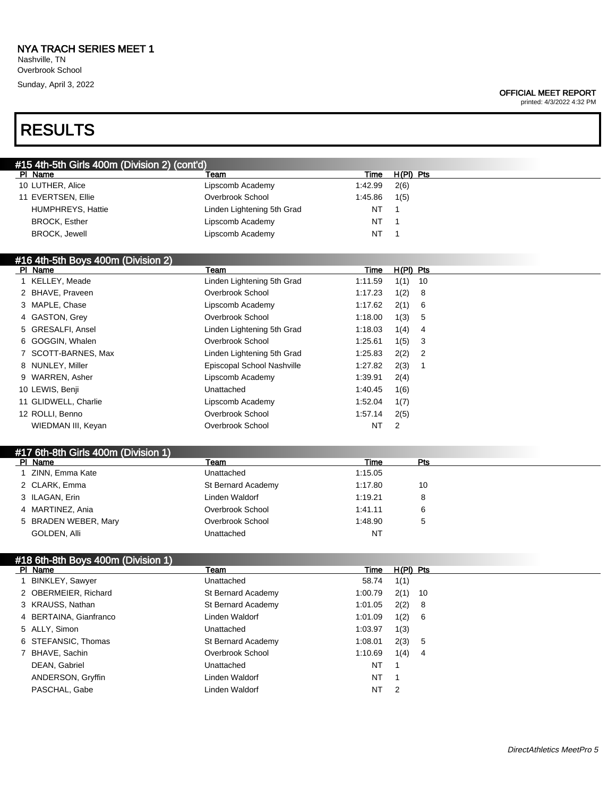Nashville, TN Overbrook School Sunday, April 3, 2022

#### OFFICIAL MEET REPORT

printed: 4/3/2022 4:32 PM

# RESULTS

| #15 4th-5th Girls 400m (Division 2) (cont'd) |                            |         |           |  |  |  |  |  |
|----------------------------------------------|----------------------------|---------|-----------|--|--|--|--|--|
| PI Name                                      | Team                       | Time    | H(PI) Pts |  |  |  |  |  |
| 10 LUTHER, Alice                             | Lipscomb Academy           | 1:42.99 | 2(6)      |  |  |  |  |  |
| 11 EVERTSEN, Ellie                           | Overbrook School           | 1:45.86 | 1(5)      |  |  |  |  |  |
| <b>HUMPHREYS, Hattie</b>                     | Linden Lightening 5th Grad | NT      |           |  |  |  |  |  |
| <b>BROCK, Esther</b>                         | Lipscomb Academy           | NT      |           |  |  |  |  |  |
| <b>BROCK, Jewell</b>                         | Lipscomb Academy           | NT      |           |  |  |  |  |  |

### #16 4th-5th Boys 400m (Division 2)

| PI Name              | Team                       | Time      | $H(PI)$ Pts                        |  |
|----------------------|----------------------------|-----------|------------------------------------|--|
| 1 KELLEY, Meade      | Linden Lightening 5th Grad | 1:11.59   | 1(1)<br>- 10                       |  |
| 2 BHAVE, Praveen     | Overbrook School           | 1:17.23   | 1(2)<br>- 8                        |  |
| 3 MAPLE, Chase       | Lipscomb Academy           | 1:17.62   | 2(1)<br>6                          |  |
| 4 GASTON, Grey       | Overbrook School           | 1:18.00   | 1(3)<br>5                          |  |
| 5 GRESALFI, Ansel    | Linden Lightening 5th Grad | 1:18.03   | 1(4)<br>- 4                        |  |
| 6 GOGGIN, Whalen     | Overbrook School           | 1:25.61   | 1(5)<br>- 3                        |  |
| 7 SCOTT-BARNES, Max  | Linden Lightening 5th Grad | 1:25.83   | 2(2)<br>$\overline{\phantom{0}}^2$ |  |
| 8 NUNLEY, Miller     | Episcopal School Nashville | 1:27.82   | 2(3)                               |  |
| 9 WARREN, Asher      | Lipscomb Academy           | 1:39.91   | 2(4)                               |  |
| 10 LEWIS, Benji      | Unattached                 | 1:40.45   | 1(6)                               |  |
| 11 GLIDWELL, Charlie | Lipscomb Academy           | 1:52.04   | 1(7)                               |  |
| 12 ROLLI, Benno      | Overbrook School           | 1:57.14   | 2(5)                               |  |
| WIEDMAN III, Keyan   | Overbrook School           | <b>NT</b> | 2                                  |  |

## #17 6th-8th Girls 400m (Division 1)

## #18 6th-8th Boys 400m (Division 1)

| PI Name                | Team               | Time    | $H(PI)$ Pts |     |
|------------------------|--------------------|---------|-------------|-----|
| 1 BINKLEY, Sawyer      | Unattached         | 58.74   | 1(1)        |     |
| 2 OBERMEIER, Richard   | St Bernard Academy | 1:00.79 | $2(1)$ 10   |     |
| 3 KRAUSS, Nathan       | St Bernard Academy | 1:01.05 | 2(2) 8      |     |
| 4 BERTAINA, Gianfranco | Linden Waldorf     | 1:01.09 | 1(2) 6      |     |
| 5 ALLY, Simon          | Unattached         | 1:03.97 | 1(3)        |     |
| 6 STEFANSIC, Thomas    | St Bernard Academy | 1:08.01 | 2(3) 5      |     |
| 7 BHAVE, Sachin        | Overbrook School   | 1:10.69 | 1(4)        | - 4 |
| DEAN, Gabriel          | Unattached         | NT      |             |     |
| ANDERSON, Gryffin      | Linden Waldorf     | NT      |             |     |
| PASCHAL, Gabe          | Linden Waldorf     | NT      | -2          |     |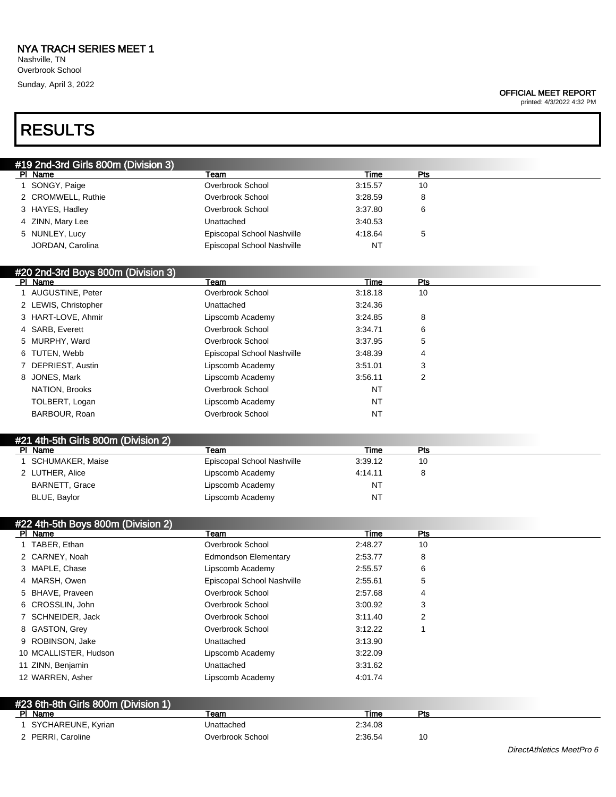Overbrook School Sunday, April 3, 2022

#### OFFICIAL MEET REPORT

printed: 4/3/2022 4:32 PM

# RESULTS

| #19 2nd-3rd Girls 800m (Division 3) |                            |           |     |  |
|-------------------------------------|----------------------------|-----------|-----|--|
| PI Name                             | Team                       | Time      | Pts |  |
| 1 SONGY, Paige                      | Overbrook School           | 3:15.57   | 10  |  |
| 2 CROMWELL, Ruthie                  | Overbrook School           | 3:28.59   | 8   |  |
| 3 HAYES, Hadley                     | Overbrook School           | 3:37.80   | 6   |  |
| 4 ZINN, Mary Lee                    | Unattached                 | 3:40.53   |     |  |
| 5 NUNLEY, Lucy                      | Episcopal School Nashville | 4:18.64   | 5   |  |
| JORDAN, Carolina                    | Episcopal School Nashville | <b>NT</b> |     |  |
|                                     |                            |           |     |  |

### #20 2nd-3rd Boys 800m (Division 3)

| PI Name              | Team                       | Time      | <b>Pts</b> |  |
|----------------------|----------------------------|-----------|------------|--|
| 1 AUGUSTINE, Peter   | Overbrook School           | 3:18.18   | 10         |  |
| 2 LEWIS, Christopher | Unattached                 | 3:24.36   |            |  |
| 3 HART-LOVE, Ahmir   | Lipscomb Academy           | 3:24.85   | 8          |  |
| 4 SARB, Everett      | Overbrook School           | 3:34.71   | 6          |  |
| 5 MURPHY, Ward       | Overbrook School           | 3:37.95   | 5          |  |
| 6 TUTEN, Webb        | Episcopal School Nashville | 3:48.39   | 4          |  |
| 7 DEPRIEST, Austin   | Lipscomb Academy           | 3:51.01   | 3          |  |
| 8 JONES, Mark        | Lipscomb Academy           | 3:56.11   | 2          |  |
| NATION, Brooks       | Overbrook School           | NT        |            |  |
| TOLBERT, Logan       | Lipscomb Academy           | NT        |            |  |
| BARBOUR, Roan        | Overbrook School           | <b>NT</b> |            |  |

### #21 4th-5th Girls 800m (Division 2)

| PI Name          | Team                       | Time    | Pts |
|------------------|----------------------------|---------|-----|
| SCHUMAKER, Maise | Episcopal School Nashville | 3:39.12 | 10  |
| 2 LUTHER, Alice  | Lipscomb Academy           | 4:14.11 |     |
| BARNETT, Grace   | Lipscomb Academy           | NT      |     |
| BLUE, Baylor     | Lipscomb Academy           | NT      |     |

## #22 4th-5th Boys 800m (Division 2)

| $mZ$ - $m \sim 0.1$ Do you do the property $Z$<br>PI Name | Team                        | Time    | Pts |  |
|-----------------------------------------------------------|-----------------------------|---------|-----|--|
| 1 TABER, Ethan                                            | Overbrook School            | 2:48.27 | 10  |  |
| 2 CARNEY, Noah                                            | <b>Edmondson Elementary</b> | 2:53.77 | 8   |  |
| 3 MAPLE, Chase                                            | Lipscomb Academy            | 2:55.57 | 6   |  |
| 4 MARSH, Owen                                             | Episcopal School Nashville  | 2:55.61 | 5   |  |
| 5 BHAVE, Praveen                                          | Overbrook School            | 2:57.68 | 4   |  |
| 6 CROSSLIN, John                                          | Overbrook School            | 3:00.92 | 3   |  |
| 7 SCHNEIDER, Jack                                         | Overbrook School            | 3:11.40 | 2   |  |
| 8 GASTON, Grey                                            | Overbrook School            | 3:12.22 |     |  |
| 9 ROBINSON, Jake                                          | Unattached                  | 3:13.90 |     |  |
| 10 MCALLISTER, Hudson                                     | Lipscomb Academy            | 3:22.09 |     |  |
| 11 ZINN, Benjamin                                         | Unattached                  | 3:31.62 |     |  |
| 12 WARREN, Asher                                          | Lipscomb Academy            | 4:01.74 |     |  |
|                                                           |                             |         |     |  |

| #23 6th-8th Girls 800m (Division 1) |                  |         |     |  |
|-------------------------------------|------------------|---------|-----|--|
| PI Name                             | ⊺eam             | Time    | Pts |  |
| SYCHAREUNE, Kyrian                  | Unattached       | 2:34.08 |     |  |
| 2 PERRI, Caroline                   | Overbrook School | 2:36.54 | 10  |  |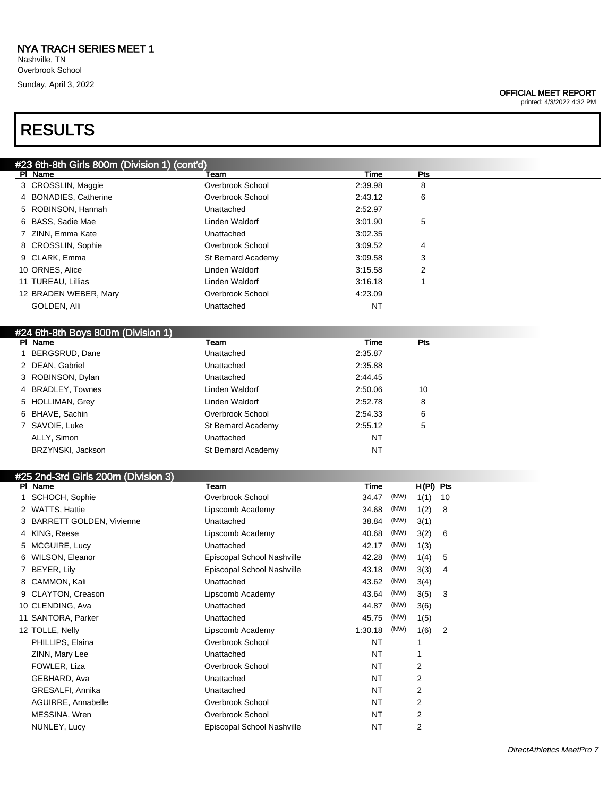Sunday, April 3, 2022

#### OFFICIAL MEET REPORT

printed: 4/3/2022 4:32 PM

## RESULTS

|   | #23 6th-8th Girls 800m (Division 1) (cont'd) |                            |             |      |             |                |  |
|---|----------------------------------------------|----------------------------|-------------|------|-------------|----------------|--|
|   | PI Name                                      | Team                       | Time        |      | Pts         |                |  |
|   | 3 CROSSLIN, Maggie                           | Overbrook School           | 2:39.98     |      | 8           |                |  |
|   | 4 BONADIES, Catherine                        | Overbrook School           | 2:43.12     |      | 6           |                |  |
|   | 5 ROBINSON, Hannah                           | Unattached                 | 2:52.97     |      |             |                |  |
|   | 6 BASS, Sadie Mae                            | Linden Waldorf             | 3:01.90     |      | 5           |                |  |
|   | 7 ZINN, Emma Kate                            | Unattached                 | 3:02.35     |      |             |                |  |
|   | 8 CROSSLIN, Sophie                           | Overbrook School           | 3:09.52     |      | 4           |                |  |
|   | 9 CLARK, Emma                                | St Bernard Academy         | 3:09.58     |      | 3           |                |  |
|   | 10 ORNES, Alice                              | Linden Waldorf             | 3:15.58     |      | 2           |                |  |
|   | 11 TUREAU, Lillias                           | Linden Waldorf             | 3:16.18     |      | 1           |                |  |
|   | 12 BRADEN WEBER, Mary                        | Overbrook School           | 4:23.09     |      |             |                |  |
|   | GOLDEN, Alli                                 | Unattached                 | ΝT          |      |             |                |  |
|   |                                              |                            |             |      |             |                |  |
|   | #24 6th-8th Boys 800m (Division 1)           |                            |             |      |             |                |  |
|   | PI Name                                      | Team                       | <b>Time</b> |      | <b>Pts</b>  |                |  |
|   | 1 BERGSRUD, Dane                             | Unattached                 | 2:35.87     |      |             |                |  |
|   | 2 DEAN, Gabriel                              | Unattached                 | 2:35.88     |      |             |                |  |
|   | 3 ROBINSON, Dylan                            | Unattached                 | 2:44.45     |      |             |                |  |
| 4 | <b>BRADLEY, Townes</b>                       | Linden Waldorf             | 2:50.06     |      | 10          |                |  |
|   | 5 HOLLIMAN, Grey                             | Linden Waldorf             | 2:52.78     |      | 8           |                |  |
|   | 6 BHAVE, Sachin                              | Overbrook School           | 2:54.33     |      | 6           |                |  |
|   | 7 SAVOIE, Luke                               | St Bernard Academy         | 2:55.12     |      | 5           |                |  |
|   | ALLY, Simon                                  | Unattached                 | <b>NT</b>   |      |             |                |  |
|   | BRZYNSKI, Jackson                            | St Bernard Academy         | ΝT          |      |             |                |  |
|   |                                              |                            |             |      |             |                |  |
|   | #25 2nd-3rd Girls 200m (Division 3)          |                            |             |      |             |                |  |
|   | PI Name                                      | Team                       | Time        |      | $H(PI)$ Pts |                |  |
|   | 1 SCHOCH, Sophie                             | Overbrook School           | 34.47       | (NW) | $1(1)$ 10   |                |  |
|   | 2 WATTS, Hattie                              | Lipscomb Academy           | 34.68       | (NW) | 1(2)        | 8              |  |
|   | 3 BARRETT GOLDEN, Vivienne                   | Unattached                 | 38.84       | (NW) | 3(1)        |                |  |
|   | 4 KING, Reese                                | Lipscomb Academy           | 40.68       | (NW) | 3(2)        | 6              |  |
|   | 5 MCGUIRE, Lucy                              | Unattached                 | 42.17       | (NW) | 1(3)        |                |  |
|   | 6 WILSON, Eleanor                            | Episcopal School Nashville | 42.28       | (NW) | 1(4)        | 5              |  |
|   | 7 BEYER, Lily                                | Episcopal School Nashville | 43.18       | (NW) | 3(3)        | 4              |  |
|   | 8 CAMMON, Kali                               | Unattached                 | 43.62       | (NW) | 3(4)        |                |  |
|   | 9 CLAYTON, Creason                           | Lipscomb Academy           | 43.64       | (NW) | 3(5)        | 3              |  |
|   | 10 CLENDING, Ava                             | Unattached                 | 44.87 (NW)  |      | 3(6)        |                |  |
|   | 11 SANTORA, Parker                           | Unattached                 | 45.75 (NW)  |      | 1(5)        |                |  |
|   | 12 TOLLE, Nelly                              | Lipscomb Academy           | 1:30.18     | (NW) | 1(6)        | $\overline{2}$ |  |
|   | PHILLIPS, Elaina                             | Overbrook School           | ΝT          |      | 1           |                |  |
|   | ZINN, Mary Lee                               | Unattached                 | NT          |      | 1           |                |  |
|   | FOWLER, Liza                                 | Overbrook School           | ΝT          |      | 2           |                |  |
|   | GEBHARD, Ava                                 | Unattached                 | ΝT          |      | 2           |                |  |
|   | GRESALFI, Annika                             | Unattached                 | ΝT          |      | 2           |                |  |
|   |                                              |                            |             |      |             |                |  |
|   | AGUIRRE, Annabelle                           | Overbrook School           | NT          |      | 2           |                |  |
|   | MESSINA, Wren<br>NUNLEY, Lucy                | Overbrook School           | <b>NT</b>   |      | 2           |                |  |
|   |                                              | Episcopal School Nashville | NT          |      | 2           |                |  |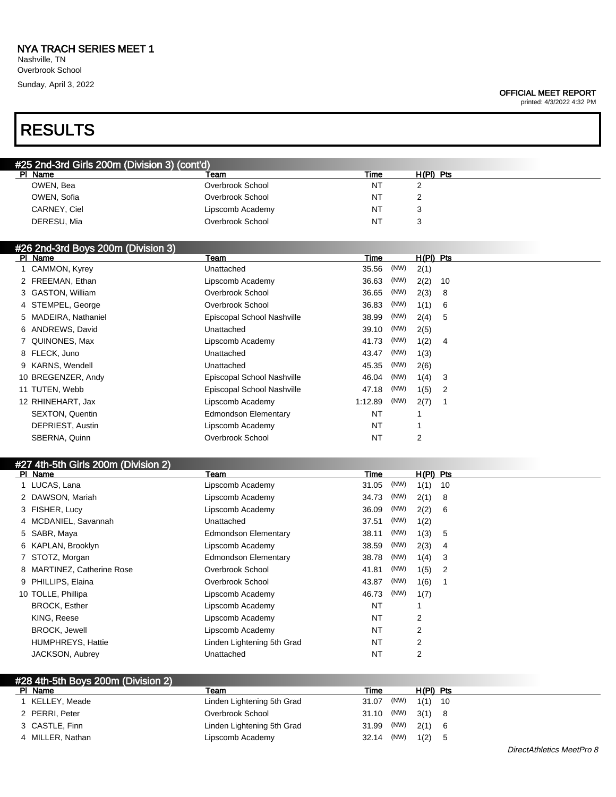Nashville, TN Overbrook School Sunday, April 3, 2022

# RESULTS

| <b>OFFICIAL MEET REPORT</b> |  |  |
|-----------------------------|--|--|
|-----------------------------|--|--|

printed: 4/3/2022 4:32 PM

| #25 2nd-3rd Girls 200m (Division 3) (cont'd) |                  |      |           |  |  |
|----------------------------------------------|------------------|------|-----------|--|--|
| PI Name                                      | Team             | Time | H(PI) Pts |  |  |
| OWEN, Bea                                    | Overbrook School | NT   |           |  |  |
| OWEN, Sofia                                  | Overbrook School | NT   |           |  |  |
| CARNEY, Ciel                                 | Lipscomb Academy | NT   |           |  |  |
| DERESU, Mia                                  | Overbrook School | NT   |           |  |  |
|                                              |                  |      |           |  |  |

| #26 2nd-3rd Boys 200m (Division 3) |                        |                            |           |      |           |                |
|------------------------------------|------------------------|----------------------------|-----------|------|-----------|----------------|
|                                    | PI Name                | Team                       | Time      |      | H(PI) Pts |                |
|                                    | 1 CAMMON, Kyrey        | Unattached                 | 35.56     | (NW) | 2(1)      |                |
|                                    | 2 FREEMAN, Ethan       | Lipscomb Academy           | 36.63     | (NW) | 2(2)      | - 10           |
|                                    | 3 GASTON, William      | Overbrook School           | 36.65     | (NW) | 2(3)      | - 8            |
|                                    | 4 STEMPEL, George      | Overbrook School           | 36.83     | (NW) | 1(1)      | 6              |
|                                    | 5 MADEIRA, Nathaniel   | Episcopal School Nashville | 38.99     | (NW) | 2(4)      | 5              |
|                                    | 6 ANDREWS, David       | Unattached                 | 39.10     | (NW) | 2(5)      |                |
|                                    | 7 QUINONES, Max        | Lipscomb Academy           | 41.73     | (NW) | 1(2)      | $\overline{4}$ |
|                                    | 8 FLECK, Juno          | Unattached                 | 43.47     | (NW) | 1(3)      |                |
|                                    | 9 KARNS, Wendell       | Unattached                 | 45.35     | (NW) | 2(6)      |                |
|                                    | 10 BREGENZER, Andy     | Episcopal School Nashville | 46.04     | (NW) | 1(4)      | 3              |
|                                    | 11 TUTEN, Webb         | Episcopal School Nashville | 47.18     | (NW) | 1(5)      | 2              |
|                                    | 12 RHINEHART, Jax      | Lipscomb Academy           | 1:12.89   | (NW) | 2(7)      |                |
|                                    | <b>SEXTON, Quentin</b> | Edmondson Elementary       | NT        |      |           |                |
|                                    | DEPRIEST, Austin       | Lipscomb Academy           | NT        |      |           |                |
|                                    | SBERNA, Quinn          | Overbrook School           | <b>NT</b> |      | 2         |                |

| #27 4th-5th Girls 200m (Division 2) |                            |                             |           |      |           |    |
|-------------------------------------|----------------------------|-----------------------------|-----------|------|-----------|----|
|                                     | PI Name                    | Team                        | Time      |      | H(PI) Pts |    |
|                                     | 1 LUCAS, Lana              | Lipscomb Academy            | 31.05     | (NW) | 1(1)      | 10 |
|                                     | 2 DAWSON, Mariah           | Lipscomb Academy            | 34.73     | (NW) | 2(1)      | 8  |
|                                     | 3 FISHER, Lucy             | Lipscomb Academy            | 36.09     | (NW) | 2(2)      | 6  |
|                                     | 4 MCDANIEL, Savannah       | Unattached                  | 37.51     | (NW) | 1(2)      |    |
|                                     | 5 SABR, Maya               | <b>Edmondson Elementary</b> | 38.11     | (NW) | 1(3)      | 5  |
|                                     | 6 KAPLAN, Brooklyn         | Lipscomb Academy            | 38.59     | (NW) | 2(3)      | 4  |
|                                     | 7 STOTZ, Morgan            | <b>Edmondson Elementary</b> | 38.78     | (NW) | 1(4)      | 3  |
|                                     | 8 MARTINEZ, Catherine Rose | Overbrook School            | 41.81     | (NW) | 1(5)      | 2  |
|                                     | 9 PHILLIPS, Elaina         | Overbrook School            | 43.87     | (NW) | 1(6)      |    |
|                                     | 10 TOLLE, Phillipa         | Lipscomb Academy            | 46.73     | (NW) | 1(7)      |    |
|                                     | <b>BROCK, Esther</b>       | Lipscomb Academy            | <b>NT</b> |      |           |    |
|                                     | KING, Reese                | Lipscomb Academy            | NT        |      | 2         |    |
|                                     | <b>BROCK, Jewell</b>       | Lipscomb Academy            | NT        |      | 2         |    |
|                                     | <b>HUMPHREYS, Hattie</b>   | Linden Lightening 5th Grad  | NT        |      | 2         |    |
|                                     | JACKSON, Aubrey            | Unattached                  | <b>NT</b> |      | 2         |    |
|                                     |                            |                             |           |      |           |    |

| #28 4th-5th Boys 200m (Division 2) |                            |                    |             |  |  |
|------------------------------------|----------------------------|--------------------|-------------|--|--|
| PI Name                            | Team                       | Time               | $H(PI)$ Pts |  |  |
| I KELLEY, Meade                    | Linden Lightening 5th Grad | 31.07 (NW) 1(1) 10 |             |  |  |
| 2 PERRI, Peter                     | Overbrook School           | 31.10 (NW) 3(1) 8  |             |  |  |
| 3 CASTLE, Finn                     | Linden Lightening 5th Grad | 31.99 (NW) 2(1) 6  |             |  |  |
| 4 MILLER, Nathan                   | Lipscomb Academy           | 32.14 (NW) 1(2) 5  |             |  |  |